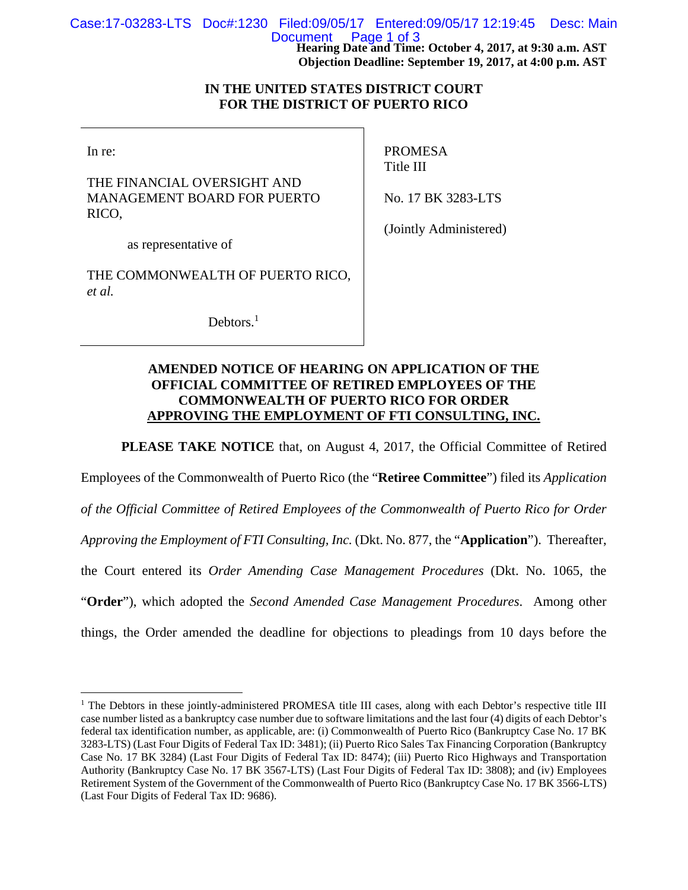**Hearing Date and Time: October 4, 2017, at 9:30 a.m. AST**  Case:17-03283-LTS Doc#:1230 Filed:09/05/17 Entered:09/05/17 12:19:45 Desc: Main Document Page 1 of 3

**Objection Deadline: September 19, 2017, at 4:00 p.m. AST** 

## **IN THE UNITED STATES DISTRICT COURT FOR THE DISTRICT OF PUERTO RICO**

In re:

 $\overline{a}$ 

THE FINANCIAL OVERSIGHT AND MANAGEMENT BOARD FOR PUERTO RICO,

PROMESA Title III

No. 17 BK 3283-LTS

as representative of

THE COMMONWEALTH OF PUERTO RICO, *et al.*

Debtors.<sup>1</sup>

(Jointly Administered)

## **AMENDED NOTICE OF HEARING ON APPLICATION OF THE OFFICIAL COMMITTEE OF RETIRED EMPLOYEES OF THE COMMONWEALTH OF PUERTO RICO FOR ORDER APPROVING THE EMPLOYMENT OF FTI CONSULTING, INC.**

**PLEASE TAKE NOTICE** that, on August 4, 2017, the Official Committee of Retired

Employees of the Commonwealth of Puerto Rico (the "**Retiree Committee**") filed its *Application of the Official Committee of Retired Employees of the Commonwealth of Puerto Rico for Order Approving the Employment of FTI Consulting, Inc.* (Dkt. No. 877, the "**Application**"). Thereafter, the Court entered its *Order Amending Case Management Procedures* (Dkt. No. 1065, the "**Order**"), which adopted the *Second Amended Case Management Procedures*. Among other things, the Order amended the deadline for objections to pleadings from 10 days before the

<sup>&</sup>lt;sup>1</sup> The Debtors in these jointly-administered PROMESA title III cases, along with each Debtor's respective title III case number listed as a bankruptcy case number due to software limitations and the last four (4) digits of each Debtor's federal tax identification number, as applicable, are: (i) Commonwealth of Puerto Rico (Bankruptcy Case No. 17 BK 3283-LTS) (Last Four Digits of Federal Tax ID: 3481); (ii) Puerto Rico Sales Tax Financing Corporation (Bankruptcy Case No. 17 BK 3284) (Last Four Digits of Federal Tax ID: 8474); (iii) Puerto Rico Highways and Transportation Authority (Bankruptcy Case No. 17 BK 3567-LTS) (Last Four Digits of Federal Tax ID: 3808); and (iv) Employees Retirement System of the Government of the Commonwealth of Puerto Rico (Bankruptcy Case No. 17 BK 3566-LTS) (Last Four Digits of Federal Tax ID: 9686).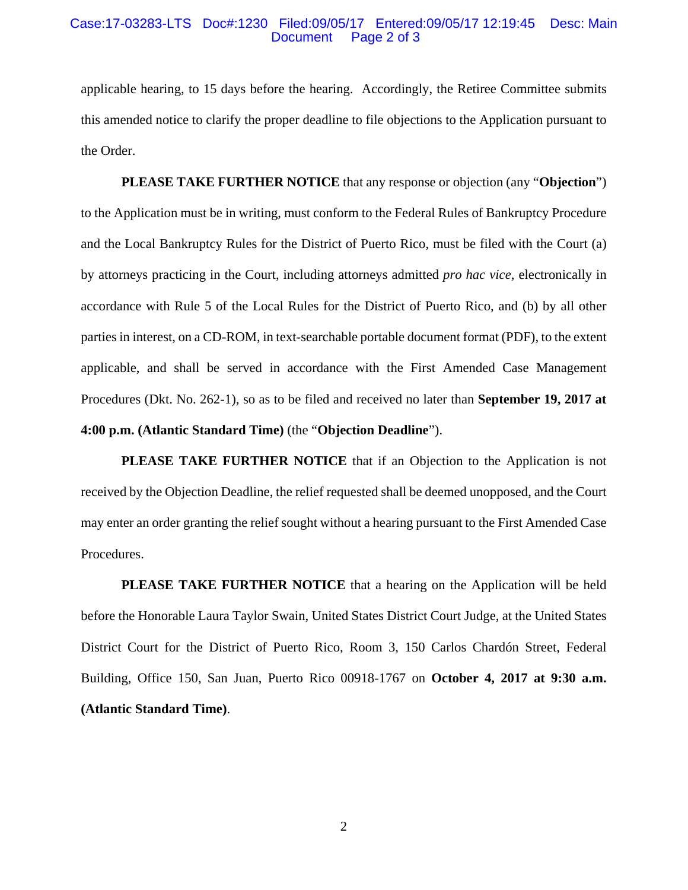## Case:17-03283-LTS Doc#:1230 Filed:09/05/17 Entered:09/05/17 12:19:45 Desc: Main Document Page 2 of 3

applicable hearing, to 15 days before the hearing. Accordingly, the Retiree Committee submits this amended notice to clarify the proper deadline to file objections to the Application pursuant to the Order.

**PLEASE TAKE FURTHER NOTICE** that any response or objection (any "**Objection**") to the Application must be in writing, must conform to the Federal Rules of Bankruptcy Procedure and the Local Bankruptcy Rules for the District of Puerto Rico, must be filed with the Court (a) by attorneys practicing in the Court, including attorneys admitted *pro hac vice*, electronically in accordance with Rule 5 of the Local Rules for the District of Puerto Rico, and (b) by all other parties in interest, on a CD-ROM, in text-searchable portable document format (PDF), to the extent applicable, and shall be served in accordance with the First Amended Case Management Procedures (Dkt. No. 262-1), so as to be filed and received no later than **September 19, 2017 at 4:00 p.m. (Atlantic Standard Time)** (the "**Objection Deadline**").

**PLEASE TAKE FURTHER NOTICE** that if an Objection to the Application is not received by the Objection Deadline, the relief requested shall be deemed unopposed, and the Court may enter an order granting the relief sought without a hearing pursuant to the First Amended Case Procedures.

**PLEASE TAKE FURTHER NOTICE** that a hearing on the Application will be held before the Honorable Laura Taylor Swain, United States District Court Judge, at the United States District Court for the District of Puerto Rico, Room 3, 150 Carlos Chardón Street, Federal Building, Office 150, San Juan, Puerto Rico 00918-1767 on **October 4, 2017 at 9:30 a.m. (Atlantic Standard Time)**.

2